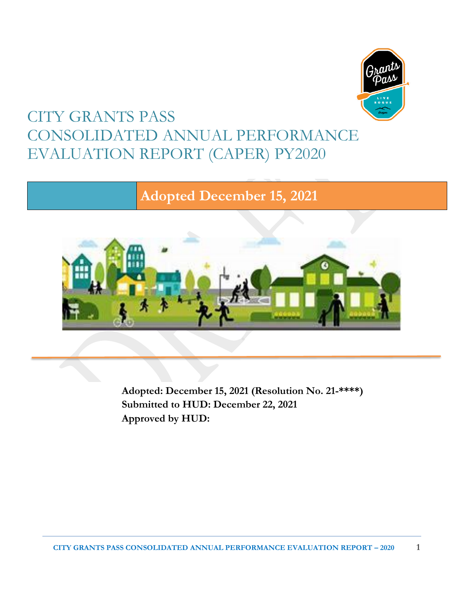

# CITY GRANTS PASS CONSOLIDATED ANNUAL PERFORMANCE EVALUATION REPORT (CAPER) PY2020

# **Adopted December 15, 2021**



**Adopted: December 15, 2021 (Resolution No. 21-\*\*\*\*) Submitted to HUD: December 22, 2021 Approved by HUD:**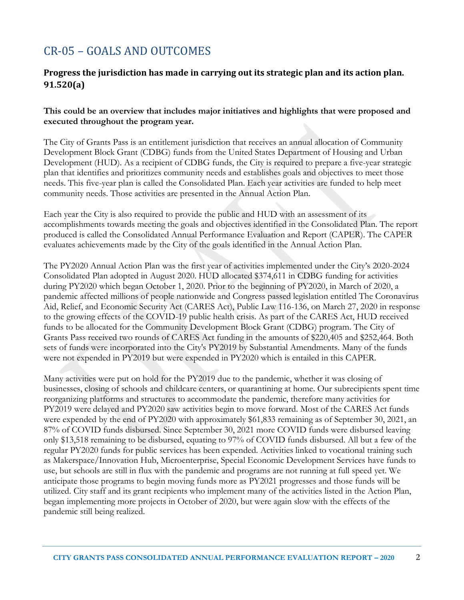# CR-05 – GOALS AND OUTCOMES

### **Progress the jurisdiction has made in carrying out its strategic plan and its action plan. 91.520(a)**

#### **This could be an overview that includes major initiatives and highlights that were proposed and executed throughout the program year.**

The City of Grants Pass is an entitlement jurisdiction that receives an annual allocation of Community Development Block Grant (CDBG) funds from the United States Department of Housing and Urban Development (HUD). As a recipient of CDBG funds, the City is required to prepare a five-year strategic plan that identifies and prioritizes community needs and establishes goals and objectives to meet those needs. This five-year plan is called the Consolidated Plan. Each year activities are funded to help meet community needs. Those activities are presented in the Annual Action Plan.

Each year the City is also required to provide the public and HUD with an assessment of its accomplishments towards meeting the goals and objectives identified in the Consolidated Plan. The report produced is called the Consolidated Annual Performance Evaluation and Report (CAPER). The CAPER evaluates achievements made by the City of the goals identified in the Annual Action Plan.

The PY2020 Annual Action Plan was the first year of activities implemented under the City's 2020-2024 Consolidated Plan adopted in August 2020. HUD allocated \$374,611 in CDBG funding for activities during PY2020 which began October 1, 2020. Prior to the beginning of PY2020, in March of 2020, a pandemic affected millions of people nationwide and Congress passed legislation entitled The Coronavirus Aid, Relief, and Economic Security Act (CARES Act), Public Law 116-136, on March 27, 2020 in response to the growing effects of the COVID-19 public health crisis. As part of the CARES Act, HUD received funds to be allocated for the Community Development Block Grant (CDBG) program. The City of Grants Pass received two rounds of CARES Act funding in the amounts of \$220,405 and \$252,464. Both sets of funds were incorporated into the City's PY2019 by Substantial Amendments. Many of the funds were not expended in PY2019 but were expended in PY2020 which is entailed in this CAPER.

Many activities were put on hold for the PY2019 due to the pandemic, whether it was closing of businesses, closing of schools and childcare centers, or quarantining at home. Our subrecipients spent time reorganizing platforms and structures to accommodate the pandemic, therefore many activities for PY2019 were delayed and PY2020 saw activities begin to move forward. Most of the CARES Act funds were expended by the end of PY2020 with approximately \$61,833 remaining as of September 30, 2021, an 87% of COVID funds disbursed. Since September 30, 2021 more COVID funds were disbursed leaving only \$13,518 remaining to be disbursed, equating to 97% of COVID funds disbursed. All but a few of the regular PY2020 funds for public services has been expended. Activities linked to vocational training such as Makerspace/Innovation Hub, Microenterprise, Special Economic Development Services have funds to use, but schools are still in flux with the pandemic and programs are not running at full speed yet. We anticipate those programs to begin moving funds more as PY2021 progresses and those funds will be utilized. City staff and its grant recipients who implement many of the activities listed in the Action Plan, began implementing more projects in October of 2020, but were again slow with the effects of the pandemic still being realized.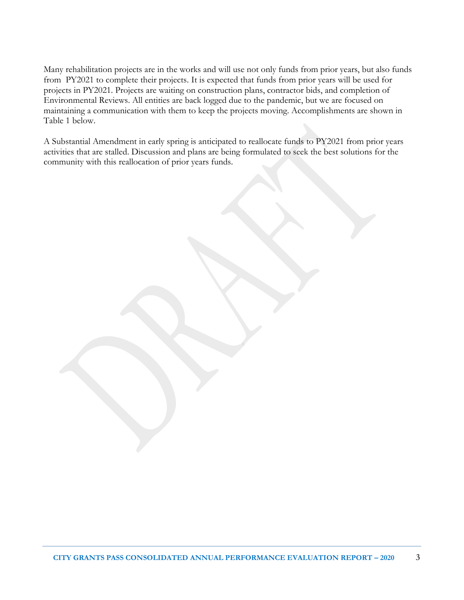Many rehabilitation projects are in the works and will use not only funds from prior years, but also funds from PY2021 to complete their projects. It is expected that funds from prior years will be used for projects in PY2021. Projects are waiting on construction plans, contractor bids, and completion of Environmental Reviews. All entities are back logged due to the pandemic, but we are focused on maintaining a communication with them to keep the projects moving. Accomplishments are shown in Table 1 below.

A Substantial Amendment in early spring is anticipated to reallocate funds to PY2021 from prior years activities that are stalled. Discussion and plans are being formulated to seek the best solutions for the community with this reallocation of prior years funds.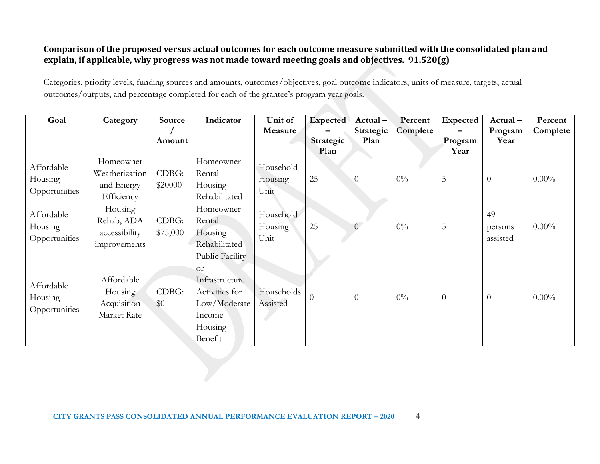### **Comparison of the proposed versus actual outcomes for each outcome measure submitted with the consolidated plan and explain, if applicable, why progress was not made toward meeting goals and objectives. 91.520(g)**

Categories, priority levels, funding sources and amounts, outcomes/objectives, goal outcome indicators, units of measure, targets, actual outcomes/outputs, and percentage completed for each of the grantee's program year goals.

| Goal                                   | Category                                                | Source            | Indicator                                                                                                                    | Unit of<br>Measure           | <b>Expected</b>   | $Actual -$<br>Strategic | Percent<br>Complete | <b>Expected</b> | Actual-<br>Program        | Percent<br>Complete |
|----------------------------------------|---------------------------------------------------------|-------------------|------------------------------------------------------------------------------------------------------------------------------|------------------------------|-------------------|-------------------------|---------------------|-----------------|---------------------------|---------------------|
|                                        |                                                         | Amount            |                                                                                                                              |                              | Strategic<br>Plan | Plan                    |                     | Program<br>Year | Year                      |                     |
| Affordable<br>Housing<br>Opportunities | Homeowner<br>Weatherization<br>and Energy<br>Efficiency | CDBG:<br>\$20000  | Homeowner<br>Rental<br>Housing<br>Rehabilitated                                                                              | Household<br>Housing<br>Unit | 25                |                         | $0\%$               | 5               | $\overline{0}$            | $0.00\%$            |
| Affordable<br>Housing<br>Opportunities | Housing<br>Rehab, ADA<br>accessibility<br>improvements  | CDBG:<br>\$75,000 | Homeowner<br>Rental<br>Housing<br>Rehabilitated                                                                              | Household<br>Housing<br>Unit | 25                | $\Omega$                | $0\%$               | 5               | 49<br>persons<br>assisted | $0.00\%$            |
| Affordable<br>Housing<br>Opportunities | Affordable<br>Housing<br>Acquisition<br>Market Rate     | CDBG:<br>\$0      | <b>Public Facility</b><br><sub>O</sub> r<br>Infrastructure<br>Activities for<br>Low/Moderate<br>Income<br>Housing<br>Benefit | Households<br>Assisted       | $\Omega$          | $\theta$                | $0\%$               | $\overline{0}$  | $\theta$                  | $0.00\%$            |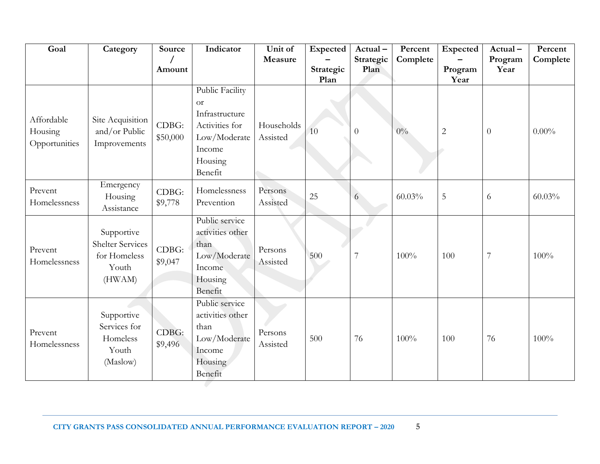| Goal                                   | Category                                                                 | Source            | Indicator                                                                                                        | Unit of<br>Measure     | Expected          | Actual-<br>Strategic | Percent<br>Complete | Expected        | Actual-<br>Program | Percent<br>Complete |
|----------------------------------------|--------------------------------------------------------------------------|-------------------|------------------------------------------------------------------------------------------------------------------|------------------------|-------------------|----------------------|---------------------|-----------------|--------------------|---------------------|
|                                        |                                                                          | Amount            |                                                                                                                  |                        | Strategic<br>Plan | Plan                 |                     | Program<br>Year | Year               |                     |
| Affordable<br>Housing<br>Opportunities | Site Acquisition<br>and/or Public<br>Improvements                        | CDBG:<br>\$50,000 | Public Facility<br><b>or</b><br>Infrastructure<br>Activities for<br>Low/Moderate<br>Income<br>Housing<br>Benefit | Households<br>Assisted | 10                | $\overline{0}$       | $0\%$               | $\overline{2}$  | $\overline{0}$     | $0.00\%$            |
| Prevent<br>Homelessness                | Emergency<br>Housing<br>Assistance                                       | CDBG:<br>\$9,778  | Homelessness<br>Prevention                                                                                       | Persons<br>Assisted    | 25                | 6                    | 60.03%              | $\mathbf 5$     | 6                  | 60.03%              |
| Prevent<br>Homelessness                | Supportive<br><b>Shelter Services</b><br>for Homeless<br>Youth<br>(HWAM) | CDBG:<br>\$9,047  | Public service<br>activities other<br>than<br>Low/Moderate<br>Income<br>Housing<br>Benefit                       | Persons<br>Assisted    | 500               | 7                    | 100%                | 100             | $\overline{7}$     | 100%                |
| Prevent<br>Homelessness                | Supportive<br>Services for<br>Homeless<br>Youth<br>(Maslow)              | CDBG:<br>\$9,496  | Public service<br>activities other<br>than<br>Low/Moderate<br>Income<br><b>Housing</b><br>Benefit                | Persons<br>Assisted    | 500               | 76                   | 100%                | 100             | 76                 | 100%                |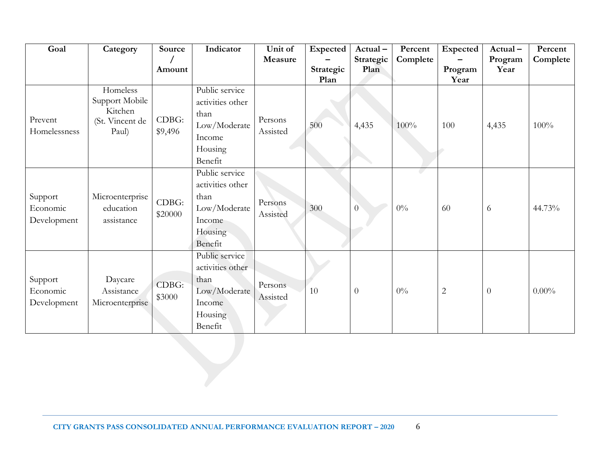| Goal                               | Category                                                          | Source<br>Amount | Indicator                                                                                  | Unit of<br>Measure  | Expected          | Actual-<br>Strategic<br>Plan | Percent<br>Complete | Expected        | Actual-<br>Program<br>Year | Percent<br>Complete |
|------------------------------------|-------------------------------------------------------------------|------------------|--------------------------------------------------------------------------------------------|---------------------|-------------------|------------------------------|---------------------|-----------------|----------------------------|---------------------|
|                                    |                                                                   |                  |                                                                                            |                     | Strategic<br>Plan |                              |                     | Program<br>Year |                            |                     |
| Prevent<br>Homelessness            | Homeless<br>Support Mobile<br>Kitchen<br>(St. Vincent de<br>Paul) | CDBG:<br>\$9,496 | Public service<br>activities other<br>than<br>Low/Moderate<br>Income<br>Housing<br>Benefit | Persons<br>Assisted | 500               | 4,435                        | 100%                | 100             | 4,435                      | 100%                |
| Support<br>Economic<br>Development | Microenterprise<br>education<br>assistance                        | CDBG:<br>\$20000 | Public service<br>activities other<br>than<br>Low/Moderate<br>Income<br>Housing<br>Benefit | Persons<br>Assisted | 300               | $\overline{0}$               | $0\%$               | 60              | 6                          | 44.73%              |
| Support<br>Economic<br>Development | Daycare<br>Assistance<br>Microenterprise                          | CDBG:<br>\$3000  | Public service<br>activities other<br>than<br>Low/Moderate<br>Income<br>Housing<br>Benefit | Persons<br>Assisted | 10                | $\theta$                     | $0\%$               | $\overline{c}$  | $\boldsymbol{0}$           | $0.00\%$            |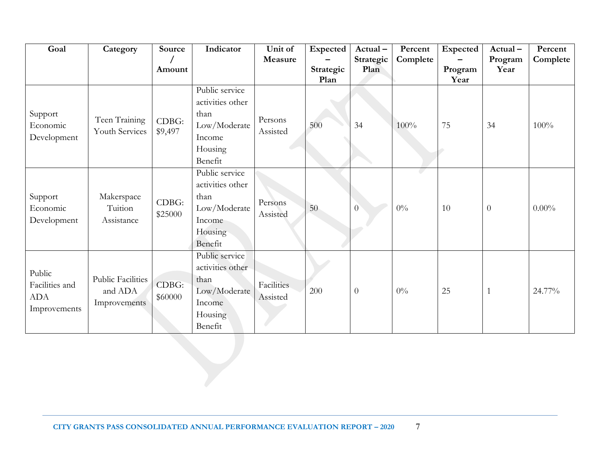| Goal                                                   | Category                                     | Source           | Indicator                                                                                  | Unit of                       | Expected          | Actual-           | Percent  | Expected        | Actual-         | Percent  |
|--------------------------------------------------------|----------------------------------------------|------------------|--------------------------------------------------------------------------------------------|-------------------------------|-------------------|-------------------|----------|-----------------|-----------------|----------|
|                                                        |                                              | Amount           |                                                                                            | Measure                       | Strategic<br>Plan | Strategic<br>Plan | Complete | Program<br>Year | Program<br>Year | Complete |
| Support<br>Economic<br>Development                     | Teen Training<br>Youth Services              | CDBG:<br>\$9,497 | Public service<br>activities other<br>than<br>Low/Moderate<br>Income<br>Housing<br>Benefit | Persons<br>Assisted           | 500               | 34                | 100%     | 75              | 34              | 100%     |
| Support<br>Economic<br>Development                     | Makerspace<br>Tuition<br>Assistance          | CDBG:<br>\$25000 | Public service<br>activities other<br>than<br>Low/Moderate<br>Income<br>Housing<br>Benefit | Persons<br>Assisted           | 50                | $\overline{0}$    | $0\%$    | 10              | $\overline{0}$  | $0.00\%$ |
| Public<br>Facilities and<br><b>ADA</b><br>Improvements | Public Facilities<br>and ADA<br>Improvements | CDBG:<br>\$60000 | Public service<br>activities other<br>than<br>Low/Moderate<br>Income<br>Housing<br>Benefit | <b>Facilities</b><br>Assisted | 200               | $\boldsymbol{0}$  | $0\%$    | 25              |                 | 24.77%   |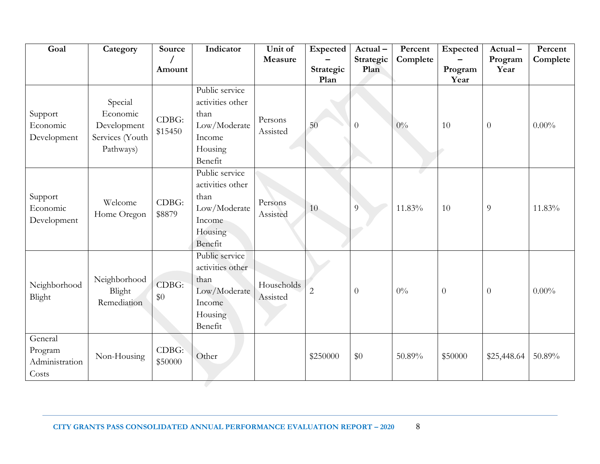| Goal                                          | Category                                                           | Source              | Indicator                                                                                  | Unit of<br>Measure     | <b>Expected</b>   | Actual-<br>Strategic | Percent<br>Complete | Expected        | Actual-<br>Program | Percent<br>Complete |
|-----------------------------------------------|--------------------------------------------------------------------|---------------------|--------------------------------------------------------------------------------------------|------------------------|-------------------|----------------------|---------------------|-----------------|--------------------|---------------------|
|                                               |                                                                    | Amount              |                                                                                            |                        | Strategic<br>Plan | Plan                 |                     | Program<br>Year | Year               |                     |
| Support<br>Economic<br>Development            | Special<br>Economic<br>Development<br>Services (Youth<br>Pathways) | CDBG:<br>\$15450    | Public service<br>activities other<br>than<br>Low/Moderate<br>Income<br>Housing<br>Benefit | Persons<br>Assisted    | 50                | $\theta$             | $0\%$               | 10              | $\overline{0}$     | $0.00\%$            |
| Support<br>Economic<br>Development            | Welcome<br>Home Oregon                                             | CDBG:<br>\$8879     | Public service<br>activities other<br>than<br>Low/Moderate<br>Income<br>Housing<br>Benefit | Persons<br>Assisted    | 10                | $\overline{9}$       | 11.83%              | 10              | 9                  | 11.83%              |
| Neighborhood<br>Blight                        | Neighborhood<br>Blight<br>Remediation                              | CDBG:<br>\$0        | Public service<br>activities other<br>than<br>Low/Moderate<br>Income<br>Housing<br>Benefit | Households<br>Assisted | $\overline{2}$    | $\overline{0}$       | $0\%$               | $\theta$        | $\boldsymbol{0}$   | $0.00\%$            |
| General<br>Program<br>Administration<br>Costs | Non-Housing                                                        | $CDBG$ :<br>\$50000 | Other                                                                                      |                        | \$250000          | \$0                  | 50.89%              | \$50000         | \$25,448.64        | 50.89%              |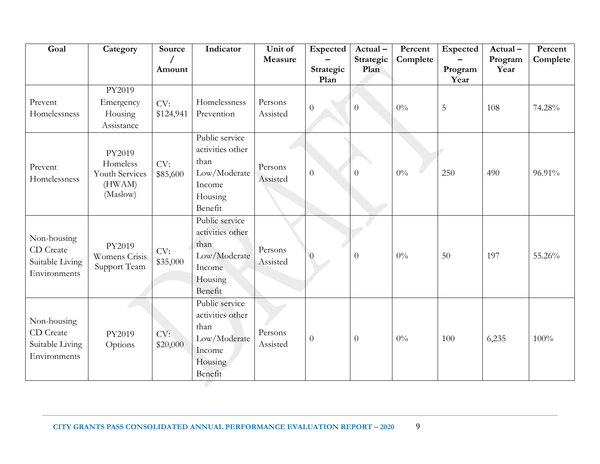| Goal                                                        | Category                                                   | Source           | Indicator                                                                                  | Unit of<br>Measure  | <b>Expected</b>   | Actual-<br>Strategic | Percent<br>Complete | Expected        | Actual-<br>Program | Percent<br>Complete |
|-------------------------------------------------------------|------------------------------------------------------------|------------------|--------------------------------------------------------------------------------------------|---------------------|-------------------|----------------------|---------------------|-----------------|--------------------|---------------------|
|                                                             |                                                            | Amount           |                                                                                            |                     | Strategic<br>Plan | Plan                 |                     | Program<br>Year | Year               |                     |
|                                                             | PY2019                                                     |                  |                                                                                            |                     |                   |                      |                     |                 |                    |                     |
| Prevent<br>Homelessness                                     | Emergency<br>Housing<br>Assistance                         | CV:<br>\$124,941 | Homelessness<br>Prevention                                                                 | Persons<br>Assisted | $\overline{0}$    | $\overline{0}$       | $0\%$               | 5               | 108                | 74.28%              |
| Prevent<br>Homelessness                                     | PY2019<br>Homeless<br>Youth Services<br>(HWAM)<br>(Maslow) | CV:<br>\$85,600  | Public service<br>activities other<br>than<br>Low/Moderate<br>Income<br>Housing<br>Benefit | Persons<br>Assisted | $\overline{0}$    | $\overline{0}$       | $0\%$               | 250             | 490                | 96.91%              |
| Non-housing<br>CD Create<br>Suitable Living<br>Environments | PY2019<br>Womens Crisis<br>Support Team                    | CV:<br>\$35,000  | Public service<br>activities other<br>than<br>Low/Moderate<br>Income<br>Housing<br>Benefit | Persons<br>Assisted | 0                 | $\overline{0}$       | $0\%$               | 50              | 197                | 55.26%              |
| Non-housing<br>CD Create<br>Suitable Living<br>Environments | PY2019<br>Options                                          | CV:<br>\$20,000  | Public service<br>activities other<br>than<br>Low/Moderate<br>Income<br>Housing<br>Benefit | Persons<br>Assisted | $\overline{0}$    | $\overline{0}$       | $0\%$               | 100             | 6,235              | 100%                |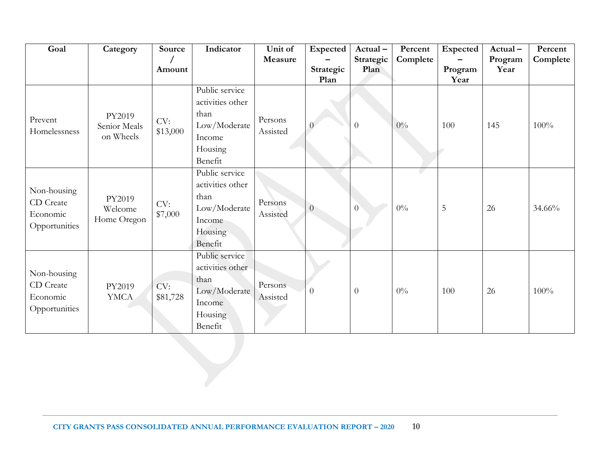| Goal                                                  | Category                            | Source<br>Amount | Indicator                                                                                  | Unit of<br>Measure  | <b>Expected</b><br>Strategic | Actual-<br>Strategic<br>Plan | Percent<br>Complete | Expected<br>Program | Actual-<br>Program<br>Year | Percent<br>Complete |
|-------------------------------------------------------|-------------------------------------|------------------|--------------------------------------------------------------------------------------------|---------------------|------------------------------|------------------------------|---------------------|---------------------|----------------------------|---------------------|
|                                                       |                                     |                  |                                                                                            |                     | Plan                         |                              |                     | Year                |                            |                     |
| Prevent<br>Homelessness                               | PY2019<br>Senior Meals<br>on Wheels | CV:<br>\$13,000  | Public service<br>activities other<br>than<br>Low/Moderate<br>Income<br>Housing<br>Benefit | Persons<br>Assisted |                              | $\theta$                     | $0\%$               | 100                 | 145                        | 100%                |
| Non-housing<br>CD Create<br>Economic<br>Opportunities | PY2019<br>Welcome<br>Home Oregon    | CV:<br>\$7,000   | Public service<br>activities other<br>than<br>Low/Moderate<br>Income<br>Housing<br>Benefit | Persons<br>Assisted | $\overline{0}$               | $\overline{0}$               | $0\%$               | 5                   | 26                         | 34.66%              |
| Non-housing<br>CD Create<br>Economic<br>Opportunities | PY2019<br><b>YMCA</b>               | CV:<br>\$81,728  | Public service<br>activities other<br>than<br>Low/Moderate<br>Income<br>Housing<br>Benefit | Persons<br>Assisted | $\theta$                     | $\boldsymbol{0}$             | $0\%$               | 100                 | 26                         | 100%                |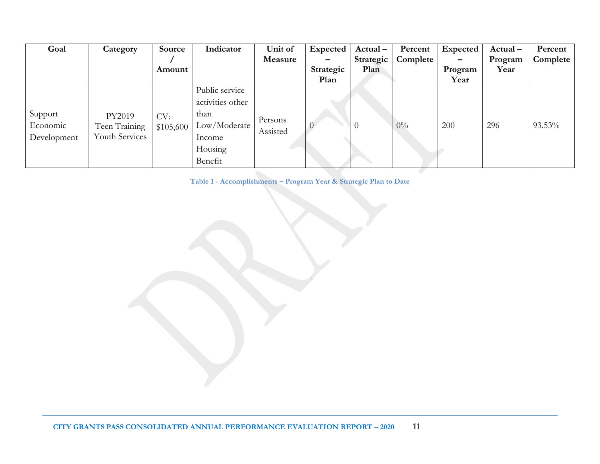| Goal                               | Category                                  | Source<br>Amount | Indicator                                                                                  | Unit of<br>Measure  | Expected<br>Strategic<br>Plan | $Actual -$<br>Strategic<br>Plan | Percent<br>Complete | Expected<br>Program<br>Year | $Actual -$<br>Program<br>Year | Percent<br>Complete |
|------------------------------------|-------------------------------------------|------------------|--------------------------------------------------------------------------------------------|---------------------|-------------------------------|---------------------------------|---------------------|-----------------------------|-------------------------------|---------------------|
| Support<br>Economic<br>Development | PY2019<br>Teen Training<br>Youth Services | CV:<br>\$105,600 | Public service<br>activities other<br>than<br>Low/Moderate<br>Income<br>Housing<br>Benefit | Persons<br>Assisted |                               |                                 | $0\%$               | 200                         | 296                           | 93.53%              |

**Table 1 - Accomplishments – Program Year & Strategic Plan to Date**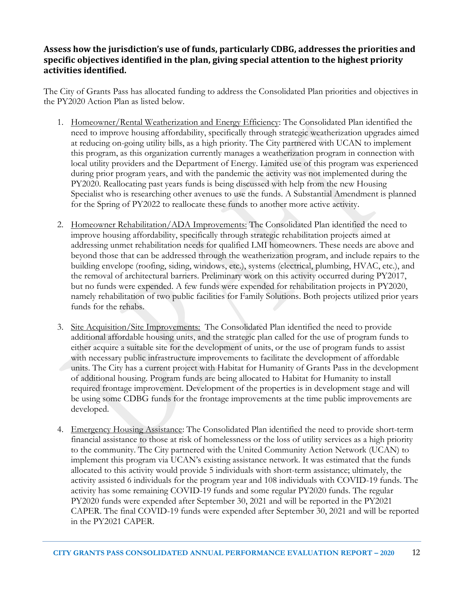### **Assess how the jurisdiction's use of funds, particularly CDBG, addresses the priorities and specific objectives identified in the plan, giving special attention to the highest priority activities identified.**

The City of Grants Pass has allocated funding to address the Consolidated Plan priorities and objectives in the PY2020 Action Plan as listed below.

- 1. Homeowner/Rental Weatherization and Energy Efficiency: The Consolidated Plan identified the need to improve housing affordability, specifically through strategic weatherization upgrades aimed at reducing on-going utility bills, as a high priority. The City partnered with UCAN to implement this program, as this organization currently manages a weatherization program in connection with local utility providers and the Department of Energy. Limited use of this program was experienced during prior program years, and with the pandemic the activity was not implemented during the PY2020. Reallocating past years funds is being discussed with help from the new Housing Specialist who is researching other avenues to use the funds. A Substantial Amendment is planned for the Spring of PY2022 to reallocate these funds to another more active activity.
- 2. Homeowner Rehabilitation/ADA Improvements: The Consolidated Plan identified the need to improve housing affordability, specifically through strategic rehabilitation projects aimed at addressing unmet rehabilitation needs for qualified LMI homeowners. These needs are above and beyond those that can be addressed through the weatherization program, and include repairs to the building envelope (roofing, siding, windows, etc.), systems (electrical, plumbing, HVAC, etc.), and the removal of architectural barriers. Preliminary work on this activity occurred during PY2017, but no funds were expended. A few funds were expended for rehabilitation projects in PY2020, namely rehabilitation of two public facilities for Family Solutions. Both projects utilized prior years funds for the rehabs.
- 3. Site Acquisition/Site Improvements: The Consolidated Plan identified the need to provide additional affordable housing units, and the strategic plan called for the use of program funds to either acquire a suitable site for the development of units, or the use of program funds to assist with necessary public infrastructure improvements to facilitate the development of affordable units. The City has a current project with Habitat for Humanity of Grants Pass in the development of additional housing. Program funds are being allocated to Habitat for Humanity to install required frontage improvement. Development of the properties is in development stage and will be using some CDBG funds for the frontage improvements at the time public improvements are developed.
- 4. Emergency Housing Assistance: The Consolidated Plan identified the need to provide short-term financial assistance to those at risk of homelessness or the loss of utility services as a high priority to the community. The City partnered with the United Community Action Network (UCAN) to implement this program via UCAN's existing assistance network. It was estimated that the funds allocated to this activity would provide 5 individuals with short-term assistance; ultimately, the activity assisted 6 individuals for the program year and 108 individuals with COVID-19 funds. The activity has some remaining COVID-19 funds and some regular PY2020 funds. The regular PY2020 funds were expended after September 30, 2021 and will be reported in the PY2021 CAPER. The final COVID-19 funds were expended after September 30, 2021 and will be reported in the PY2021 CAPER.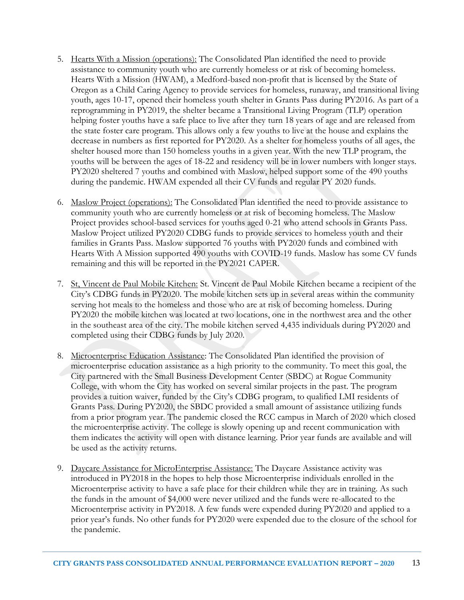- 5. Hearts With a Mission (operations): The Consolidated Plan identified the need to provide assistance to community youth who are currently homeless or at risk of becoming homeless. Hearts With a Mission (HWAM), a Medford-based non-profit that is licensed by the State of Oregon as a Child Caring Agency to provide services for homeless, runaway, and transitional living youth, ages 10-17, opened their homeless youth shelter in Grants Pass during PY2016. As part of a reprogramming in PY2019, the shelter became a Transitional Living Program (TLP) operation helping foster youths have a safe place to live after they turn 18 years of age and are released from the state foster care program. This allows only a few youths to live at the house and explains the decrease in numbers as first reported for PY2020. As a shelter for homeless youths of all ages, the shelter housed more than 150 homeless youths in a given year. With the new TLP program, the youths will be between the ages of 18-22 and residency will be in lower numbers with longer stays. PY2020 sheltered 7 youths and combined with Maslow, helped support some of the 490 youths during the pandemic. HWAM expended all their CV funds and regular PY 2020 funds.
- 6. Maslow Project (operations): The Consolidated Plan identified the need to provide assistance to community youth who are currently homeless or at risk of becoming homeless. The Maslow Project provides school-based services for youths aged 0-21 who attend schools in Grants Pass. Maslow Project utilized PY2020 CDBG funds to provide services to homeless youth and their families in Grants Pass. Maslow supported 76 youths with PY2020 funds and combined with Hearts With A Mission supported 490 youths with COVID-19 funds. Maslow has some CV funds remaining and this will be reported in the PY2021 CAPER.
- 7. St, Vincent de Paul Mobile Kitchen: St. Vincent de Paul Mobile Kitchen became a recipient of the City's CDBG funds in PY2020. The mobile kitchen sets up in several areas within the community serving hot meals to the homeless and those who are at risk of becoming homeless. During PY2020 the mobile kitchen was located at two locations, one in the northwest area and the other in the southeast area of the city. The mobile kitchen served 4,435 individuals during PY2020 and completed using their CDBG funds by July 2020.
- 8. Microenterprise Education Assistance: The Consolidated Plan identified the provision of microenterprise education assistance as a high priority to the community. To meet this goal, the City partnered with the Small Business Development Center (SBDC) at Rogue Community College, with whom the City has worked on several similar projects in the past. The program provides a tuition waiver, funded by the City's CDBG program, to qualified LMI residents of Grants Pass. During PY2020, the SBDC provided a small amount of assistance utilizing funds from a prior program year. The pandemic closed the RCC campus in March of 2020 which closed the microenterprise activity. The college is slowly opening up and recent communication with them indicates the activity will open with distance learning. Prior year funds are available and will be used as the activity returns.
- 9. Daycare Assistance for MicroEnterprise Assistance: The Daycare Assistance activity was introduced in PY2018 in the hopes to help those Microenterprise individuals enrolled in the Microenterprise activity to have a safe place for their children while they are in training. As such the funds in the amount of \$4,000 were never utilized and the funds were re-allocated to the Microenterprise activity in PY2018. A few funds were expended during PY2020 and applied to a prior year's funds. No other funds for PY2020 were expended due to the closure of the school for the pandemic.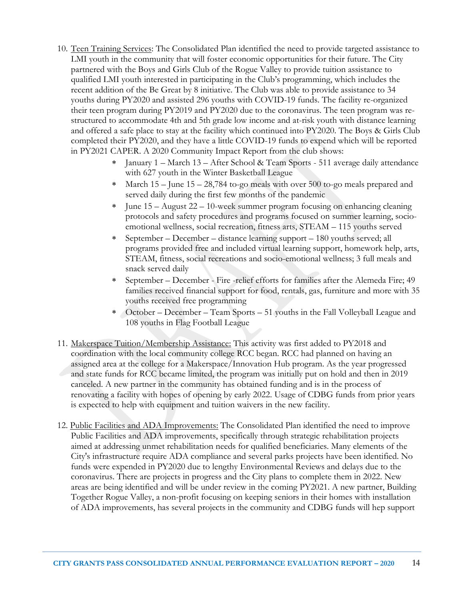- 10. Teen Training Services: The Consolidated Plan identified the need to provide targeted assistance to LMI youth in the community that will foster economic opportunities for their future. The City partnered with the Boys and Girls Club of the Rogue Valley to provide tuition assistance to qualified LMI youth interested in participating in the Club's programming, which includes the recent addition of the Be Great by 8 initiative. The Club was able to provide assistance to 34 youths during PY2020 and assisted 296 youths with COVID-19 funds. The facility re-organized their teen program during PY2019 and PY2020 due to the coronavirus. The teen program was restructured to accommodate 4th and 5th grade low income and at-risk youth with distance learning and offered a safe place to stay at the facility which continued into PY2020. The Boys & Girls Club completed their PY2020, and they have a little COVID-19 funds to expend which will be reported in PY2021 CAPER. A 2020 Community Impact Report from the club shows:
	- $*$  January 1 March 13 After School & Team Sports 511 average daily attendance with 627 youth in the Winter Basketball League
	- March 15 June 15 28,784 to-go meals with over 500 to-go meals prepared and served daily during the first few months of the pandemic
	- June 15 August 22 10-week summer program focusing on enhancing cleaning protocols and safety procedures and programs focused on summer learning, socioemotional wellness, social recreation, fitness arts, STEAM – 115 youths served
	- September December distance learning support 180 youths served; all programs provided free and included virtual learning support, homework help, arts, STEAM, fitness, social recreations and socio-emotional wellness; 3 full meals and snack served daily
	- September December Fire -relief efforts for families after the Alemeda Fire; 49 families received financial support for food, rentals, gas, furniture and more with 35 youths received free programming
	- October December Team Sports 51 youths in the Fall Volleyball League and 108 youths in Flag Football League
- 11. Makerspace Tuition/Membership Assistance: This activity was first added to PY2018 and coordination with the local community college RCC began. RCC had planned on having an assigned area at the college for a Makerspace/Innovation Hub program. As the year progressed and state funds for RCC became limited, the program was initially put on hold and then in 2019 canceled. A new partner in the community has obtained funding and is in the process of renovating a facility with hopes of opening by early 2022. Usage of CDBG funds from prior years is expected to help with equipment and tuition waivers in the new facility.
- 12. Public Facilities and ADA Improvements: The Consolidated Plan identified the need to improve Public Facilities and ADA improvements, specifically through strategic rehabilitation projects aimed at addressing unmet rehabilitation needs for qualified beneficiaries. Many elements of the City's infrastructure require ADA compliance and several parks projects have been identified. No funds were expended in PY2020 due to lengthy Environmental Reviews and delays due to the coronavirus. There are projects in progress and the City plans to complete them in 2022. New areas are being identified and will be under review in the coming PY2021. A new partner, Building Together Rogue Valley, a non-profit focusing on keeping seniors in their homes with installation of ADA improvements, has several projects in the community and CDBG funds will hep support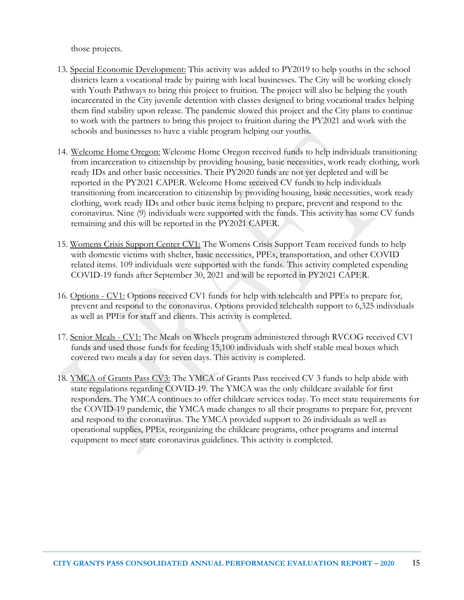those projects.

- 13. Special Economic Development: This activity was added to PY2019 to help youths in the school districts learn a vocational trade by pairing with local businesses. The City will be working closely with Youth Pathways to bring this project to fruition. The project will also be helping the youth incarcerated in the City juvenile detention with classes designed to bring vocational trades helping them find stability upon release. The pandemic slowed this project and the City plans to continue to work with the partners to bring this project to fruition during the PY2021 and work with the schools and businesses to have a viable program helping our youths.
- 14. Welcome Home Oregon: Welcome Home Oregon received funds to help individuals transitioning from incarceration to citizenship by providing housing, basic necessities, work ready clothing, work ready IDs and other basic necessities. Their PY2020 funds are not yet depleted and will be reported in the PY2021 CAPER. Welcome Home received CV funds to help individuals transitioning from incarceration to citizenship by providing housing, basic necessities, work ready clothing, work ready IDs and other basic items helping to prepare, prevent and respond to the coronavirus. Nine (9) individuals were supported with the funds. This activity has some CV funds remaining and this will be reported in the PY2021 CAPER.
- 15. Womens Crisis Support Center CV1: The Womens Crisis Support Team received funds to help with domestic victims with shelter, basic necessities, PPEs, transportation, and other COVID related items. 109 individuals were supported with the funds. This activity completed expending COVID-19 funds after September 30, 2021 and will be reported in PY2021 CAPER.
- 16. Options CV1: Options received CV1 funds for help with telehealth and PPEs to prepare for, prevent and respond to the coronavirus. Options provided telehealth support to 6,325 individuals as well as PPEs for staff and clients. This activity is completed.
- 17. Senior Meals CV1: The Meals on Wheels program administered through RVCOG received CV1 funds and used those funds for feeding 15,100 individuals with shelf stable meal boxes which covered two meals a day for seven days. This activity is completed.
- 18. YMCA of Grants Pass CV3: The YMCA of Grants Pass received CV 3 funds to help abide with state regulations regarding COVID-19. The YMCA was the only childcare available for first responders. The YMCA continues to offer childcare services today. To meet state requirements for the COVID-19 pandemic, the YMCA made changes to all their programs to prepare for, prevent and respond to the coronavirus. The YMCA provided support to 26 individuals as well as operational supplies, PPEs, reorganizing the childcare programs, other programs and internal equipment to meet state coronavirus guidelines. This activity is completed.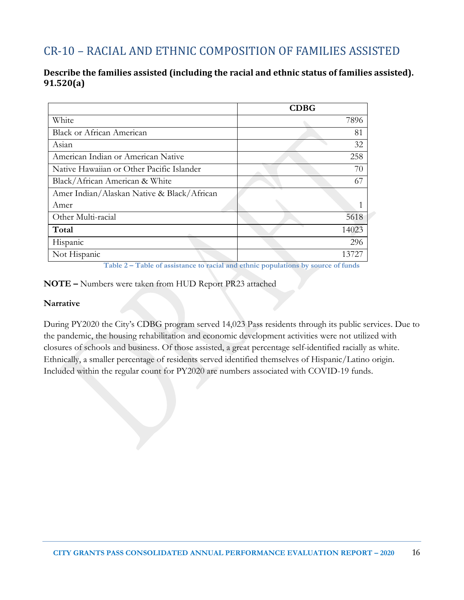# CR-10 – RACIAL AND ETHNIC COMPOSITION OF FAMILIES ASSISTED

#### **Describe the families assisted (including the racial and ethnic status of families assisted). 91.520(a)**

|                                            | <b>CDBG</b> |
|--------------------------------------------|-------------|
| White                                      | 7896        |
| <b>Black or African American</b>           | 81          |
| Asian                                      | 32          |
| American Indian or American Native         | 258         |
| Native Hawaiian or Other Pacific Islander  | 70          |
| Black/African American & White             | 67          |
| Amer Indian/Alaskan Native & Black/African |             |
| Amer                                       | 1           |
| Other Multi-racial                         | 5618        |
| Total                                      | 14023       |
| Hispanic                                   | 296         |
| Not Hispanic                               | 1372.7      |

**Table 2 – Table of assistance to racial and ethnic populations by source of funds**

#### **NOTE –** Numbers were taken from HUD Report PR23 attached

#### **Narrative**

During PY2020 the City's CDBG program served 14,023 Pass residents through its public services. Due to the pandemic, the housing rehabilitation and economic development activities were not utilized with closures of schools and business. Of those assisted, a great percentage self-identified racially as white. Ethnically, a smaller percentage of residents served identified themselves of Hispanic/Latino origin. Included within the regular count for PY2020 are numbers associated with COVID-19 funds.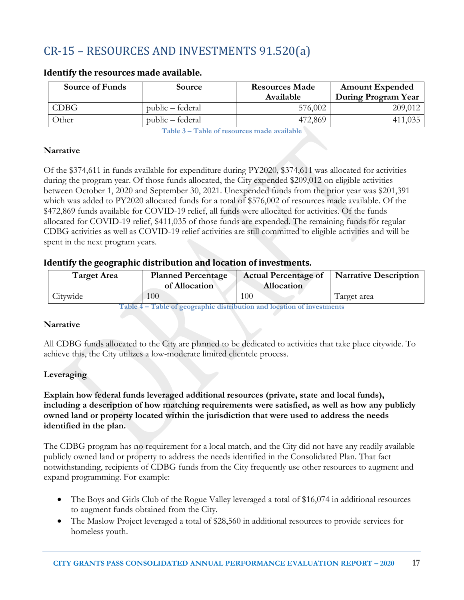# CR-15 – RESOURCES AND INVESTMENTS 91.520(a)

| Source of Funds | Source           | <b>Resources Made</b><br>Available | <b>Amount Expended</b><br>During Program Year |
|-----------------|------------------|------------------------------------|-----------------------------------------------|
| CDBG            | public – federal | 576,002                            | 209,012                                       |
| Other           | public – federal | 472,869                            | 411,035                                       |

#### **Identify the resources made available.**

**Table 3 – Table of resources made available**

#### **Narrative**

Of the \$374,611 in funds available for expenditure during PY2020, \$374,611 was allocated for activities during the program year. Of those funds allocated, the City expended \$209,012 on eligible activities between October 1, 2020 and September 30, 2021. Unexpended funds from the prior year was \$201,391 which was added to PY2020 allocated funds for a total of \$576,002 of resources made available. Of the \$472,869 funds available for COVID-19 relief, all funds were allocated for activities. Of the funds allocated for COVID-19 relief, \$411,035 of those funds are expended. The remaining funds for regular CDBG activities as well as COVID-19 relief activities are still committed to eligible activities and will be spent in the next program years.

#### **Identify the geographic distribution and location of investments.**

| <b>Target Area</b> | <b>Planned Percentage</b><br>of Allocation | <b>Actual Percentage of</b><br><b>Allocation</b> | <b>Narrative Description</b> |
|--------------------|--------------------------------------------|--------------------------------------------------|------------------------------|
| Citywide           | 100                                        | 100                                              | l arget area                 |

**Table 4 – Table of geographic distribution and location of investments**

#### **Narrative**

All CDBG funds allocated to the City are planned to be dedicated to activities that take place citywide. To achieve this, the City utilizes a low-moderate limited clientele process.

#### **Leveraging**

**Explain how federal funds leveraged additional resources (private, state and local funds), including a description of how matching requirements were satisfied, as well as how any publicly owned land or property located within the jurisdiction that were used to address the needs identified in the plan.**

The CDBG program has no requirement for a local match, and the City did not have any readily available publicly owned land or property to address the needs identified in the Consolidated Plan. That fact notwithstanding, recipients of CDBG funds from the City frequently use other resources to augment and expand programming. For example:

- The Boys and Girls Club of the Rogue Valley leveraged a total of \$16,074 in additional resources to augment funds obtained from the City.
- The Maslow Project leveraged a total of \$28,560 in additional resources to provide services for homeless youth.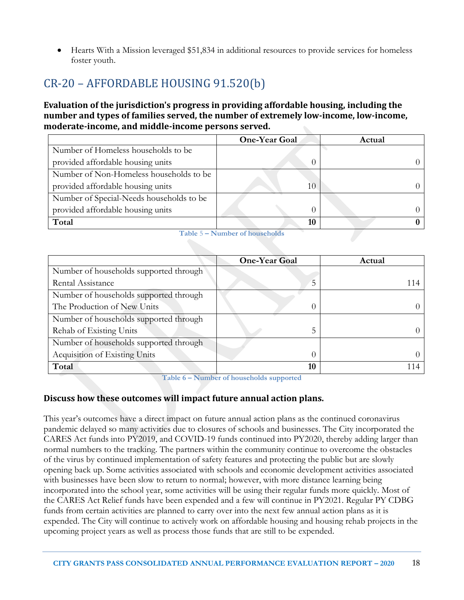• Hearts With a Mission leveraged \$51,834 in additional resources to provide services for homeless foster youth.

# CR-20 – AFFORDABLE HOUSING 91.520(b)

#### **Evaluation of the jurisdiction's progress in providing affordable housing, including the number and types of families served, the number of extremely low-income, low-income, moderate-income, and middle-income persons served.**

|                                          | <b>One-Year Goal</b> | Actual |
|------------------------------------------|----------------------|--------|
| Number of Homeless households to be      |                      |        |
| provided affordable housing units        |                      |        |
| Number of Non-Homeless households to be  |                      |        |
| provided affordable housing units        | 10                   |        |
| Number of Special-Needs households to be |                      |        |
| provided affordable housing units        |                      |        |
| Total                                    | 10                   |        |

|  |  | Table 5 – Number of households |
|--|--|--------------------------------|
|  |  |                                |

|                                        | <b>One-Year Goal</b> | Actual |
|----------------------------------------|----------------------|--------|
| Number of households supported through |                      |        |
| Rental Assistance                      | 5                    | 114    |
| Number of households supported through |                      |        |
| The Production of New Units            | $\left( \right)$     |        |
| Number of households supported through |                      |        |
| Rehab of Existing Units                | 5                    |        |
| Number of households supported through |                      |        |
| Acquisition of Existing Units          | $\left( \right)$     |        |
| Total                                  | 10                   | 114    |

**Table 6 – Number of households supported**

### **Discuss how these outcomes will impact future annual action plans.**

This year's outcomes have a direct impact on future annual action plans as the continued coronavirus pandemic delayed so many activities due to closures of schools and businesses. The City incorporated the CARES Act funds into PY2019, and COVID-19 funds continued into PY2020, thereby adding larger than normal numbers to the tracking. The partners within the community continue to overcome the obstacles of the virus by continued implementation of safety features and protecting the public but are slowly opening back up. Some activities associated with schools and economic development activities associated with businesses have been slow to return to normal; however, with more distance learning being incorporated into the school year, some activities will be using their regular funds more quickly. Most of the CARES Act Relief funds have been expended and a few will continue in PY2021. Regular PY CDBG funds from certain activities are planned to carry over into the next few annual action plans as it is expended. The City will continue to actively work on affordable housing and housing rehab projects in the upcoming project years as well as process those funds that are still to be expended.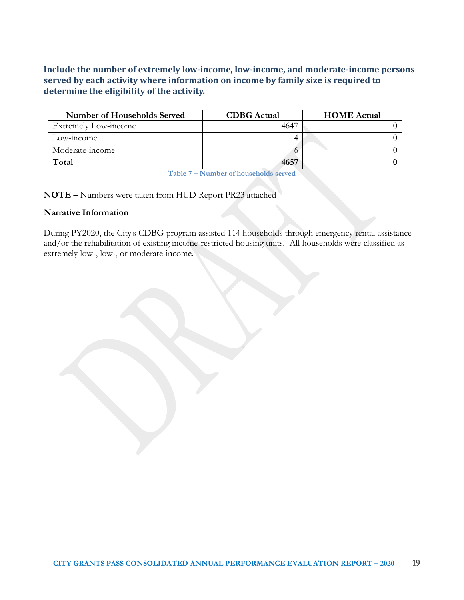**Include the number of extremely low-income, low-income, and moderate-income persons served by each activity where information on income by family size is required to determine the eligibility of the activity.**

| <b>Number of Households Served</b> | <b>CDBG</b> Actual | <b>HOME</b> Actual |
|------------------------------------|--------------------|--------------------|
| Extremely Low-income               |                    |                    |
| Low-income                         |                    |                    |
| Moderate-income                    |                    |                    |
| Total                              | 4657               |                    |

**Table 7 – Number of households served**

**NOTE –** Numbers were taken from HUD Report PR23 attached

#### **Narrative Information**

During PY2020, the City's CDBG program assisted 114 households through emergency rental assistance and/or the rehabilitation of existing income-restricted housing units. All households were classified as extremely low-, low-, or moderate-income.

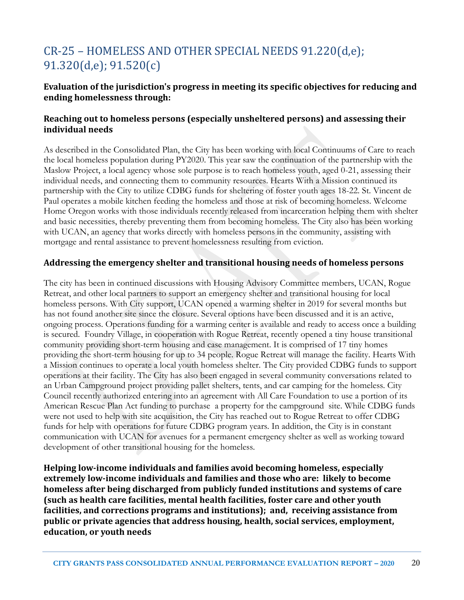# CR-25 – HOMELESS AND OTHER SPECIAL NEEDS 91.220(d,e); 91.320(d,e); 91.520(c)

### **Evaluation of the jurisdiction's progress in meeting its specific objectives for reducing and ending homelessness through:**

#### **Reaching out to homeless persons (especially unsheltered persons) and assessing their individual needs**

As described in the Consolidated Plan, the City has been working with local Continuums of Care to reach the local homeless population during PY2020. This year saw the continuation of the partnership with the Maslow Project, a local agency whose sole purpose is to reach homeless youth, aged 0-21, assessing their individual needs, and connecting them to community resources. Hearts With a Mission continued its partnership with the City to utilize CDBG funds for sheltering of foster youth ages 18-22. St. Vincent de Paul operates a mobile kitchen feeding the homeless and those at risk of becoming homeless. Welcome Home Oregon works with those individuals recently released from incarceration helping them with shelter and basic necessities, thereby preventing them from becoming homeless. The City also has been working with UCAN, an agency that works directly with homeless persons in the community, assisting with mortgage and rental assistance to prevent homelessness resulting from eviction.

#### **Addressing the emergency shelter and transitional housing needs of homeless persons**

The city has been in continued discussions with Housing Advisory Committee members, UCAN, Rogue Retreat, and other local partners to support an emergency shelter and transitional housing for local homeless persons. With City support, UCAN opened a warming shelter in 2019 for several months but has not found another site since the closure. Several options have been discussed and it is an active, ongoing process. Operations funding for a warming center is available and ready to access once a building is secured. Foundry Village, in cooperation with Rogue Retreat, recently opened a tiny house transitional community providing short-term housing and case management. It is comprised of 17 tiny homes providing the short-term housing for up to 34 people. Rogue Retreat will manage the facility. Hearts With a Mission continues to operate a local youth homeless shelter. The City provided CDBG funds to support operations at their facility. The City has also been engaged in several community conversations related to an Urban Campground project providing pallet shelters, tents, and car camping for the homeless. City Council recently authorized entering into an agreement with All Care Foundation to use a portion of its American Rescue Plan Act funding to purchase a property for the campground site. While CDBG funds were not used to help with site acquisition, the City has reached out to Rogue Retreat to offer CDBG funds for help with operations for future CDBG program years. In addition, the City is in constant communication with UCAN for avenues for a permanent emergency shelter as well as working toward development of other transitional housing for the homeless.

**Helping low-income individuals and families avoid becoming homeless, especially extremely low-income individuals and families and those who are: likely to become homeless after being discharged from publicly funded institutions and systems of care (such as health care facilities, mental health facilities, foster care and other youth facilities, and corrections programs and institutions); and, receiving assistance from public or private agencies that address housing, health, social services, employment, education, or youth needs**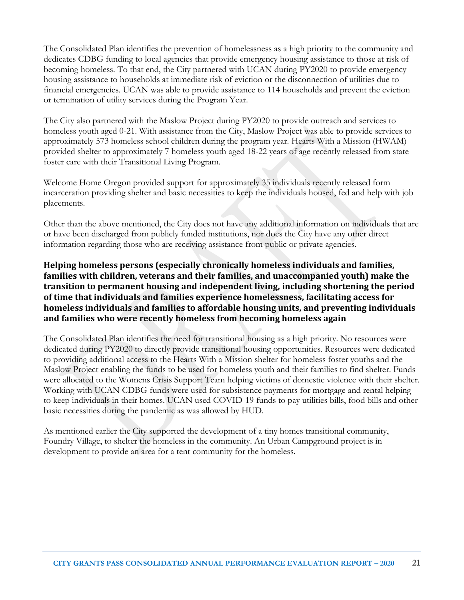The Consolidated Plan identifies the prevention of homelessness as a high priority to the community and dedicates CDBG funding to local agencies that provide emergency housing assistance to those at risk of becoming homeless. To that end, the City partnered with UCAN during PY2020 to provide emergency housing assistance to households at immediate risk of eviction or the disconnection of utilities due to financial emergencies. UCAN was able to provide assistance to 114 households and prevent the eviction or termination of utility services during the Program Year.

The City also partnered with the Maslow Project during PY2020 to provide outreach and services to homeless youth aged 0-21. With assistance from the City, Maslow Project was able to provide services to approximately 573 homeless school children during the program year. Hearts With a Mission (HWAM) provided shelter to approximately 7 homeless youth aged 18-22 years of age recently released from state foster care with their Transitional Living Program.

Welcome Home Oregon provided support for approximately 35 individuals recently released form incarceration providing shelter and basic necessities to keep the individuals housed, fed and help with job placements.

Other than the above mentioned, the City does not have any additional information on individuals that are or have been discharged from publicly funded institutions, nor does the City have any other direct information regarding those who are receiving assistance from public or private agencies.

#### **Helping homeless persons (especially chronically homeless individuals and families, families with children, veterans and their families, and unaccompanied youth) make the transition to permanent housing and independent living, including shortening the period of time that individuals and families experience homelessness, facilitating access for homeless individuals and families to affordable housing units, and preventing individuals and families who were recently homeless from becoming homeless again**

The Consolidated Plan identifies the need for transitional housing as a high priority. No resources were dedicated during PY2020 to directly provide transitional housing opportunities. Resources were dedicated to providing additional access to the Hearts With a Mission shelter for homeless foster youths and the Maslow Project enabling the funds to be used for homeless youth and their families to find shelter. Funds were allocated to the Womens Crisis Support Team helping victims of domestic violence with their shelter. Working with UCAN CDBG funds were used for subsistence payments for mortgage and rental helping to keep individuals in their homes. UCAN used COVID-19 funds to pay utilities bills, food bills and other basic necessities during the pandemic as was allowed by HUD.

As mentioned earlier the City supported the development of a tiny homes transitional community, Foundry Village, to shelter the homeless in the community. An Urban Campground project is in development to provide an area for a tent community for the homeless.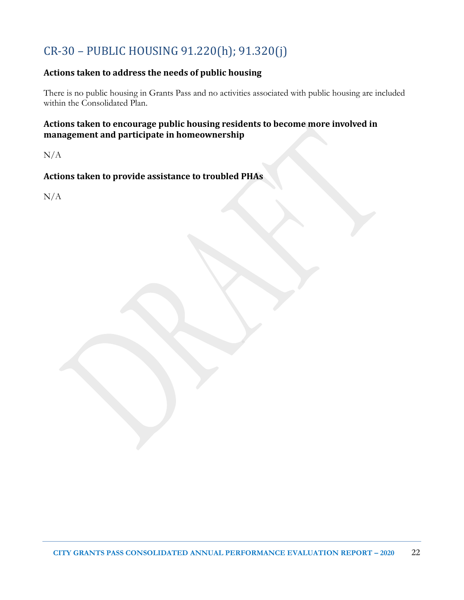# CR-30 – PUBLIC HOUSING 91.220(h); 91.320(j)

## **Actions taken to address the needs of public housing**

There is no public housing in Grants Pass and no activities associated with public housing are included within the Consolidated Plan.

### **Actions taken to encourage public housing residents to become more involved in management and participate in homeownership**

N/A

### **Actions taken to provide assistance to troubled PHAs**

N/A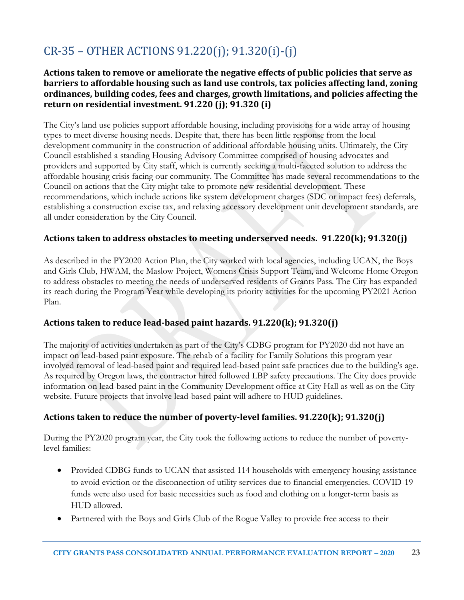# CR-35 – OTHER ACTIONS 91.220(j); 91.320(i)-(j)

#### **Actions taken to remove or ameliorate the negative effects of public policies that serve as barriers to affordable housing such as land use controls, tax policies affecting land, zoning ordinances, building codes, fees and charges, growth limitations, and policies affecting the return on residential investment. 91.220 (j); 91.320 (i)**

The City's land use policies support affordable housing, including provisions for a wide array of housing types to meet diverse housing needs. Despite that, there has been little response from the local development community in the construction of additional affordable housing units. Ultimately, the City Council established a standing Housing Advisory Committee comprised of housing advocates and providers and supported by City staff, which is currently seeking a multi-faceted solution to address the affordable housing crisis facing our community. The Committee has made several recommendations to the Council on actions that the City might take to promote new residential development. These recommendations, which include actions like system development charges (SDC or impact fees) deferrals, establishing a construction excise tax, and relaxing accessory development unit development standards, are all under consideration by the City Council.

#### **Actions taken to address obstacles to meeting underserved needs. 91.220(k); 91.320(j)**

As described in the PY2020 Action Plan, the City worked with local agencies, including UCAN, the Boys and Girls Club, HWAM, the Maslow Project, Womens Crisis Support Team, and Welcome Home Oregon to address obstacles to meeting the needs of underserved residents of Grants Pass. The City has expanded its reach during the Program Year while developing its priority activities for the upcoming PY2021 Action Plan.

#### **Actions taken to reduce lead-based paint hazards. 91.220(k); 91.320(j)**

The majority of activities undertaken as part of the City's CDBG program for PY2020 did not have an impact on lead-based paint exposure. The rehab of a facility for Family Solutions this program year involved removal of lead-based paint and required lead-based paint safe practices due to the building's age. As required by Oregon laws, the contractor hired followed LBP safety precautions. The City does provide information on lead-based paint in the Community Development office at City Hall as well as on the City website. Future projects that involve lead-based paint will adhere to HUD guidelines.

#### **Actions taken to reduce the number of poverty-level families. 91.220(k); 91.320(j)**

During the PY2020 program year, the City took the following actions to reduce the number of povertylevel families:

- Provided CDBG funds to UCAN that assisted 114 households with emergency housing assistance to avoid eviction or the disconnection of utility services due to financial emergencies. COVID-19 funds were also used for basic necessities such as food and clothing on a longer-term basis as HUD allowed.
- Partnered with the Boys and Girls Club of the Rogue Valley to provide free access to their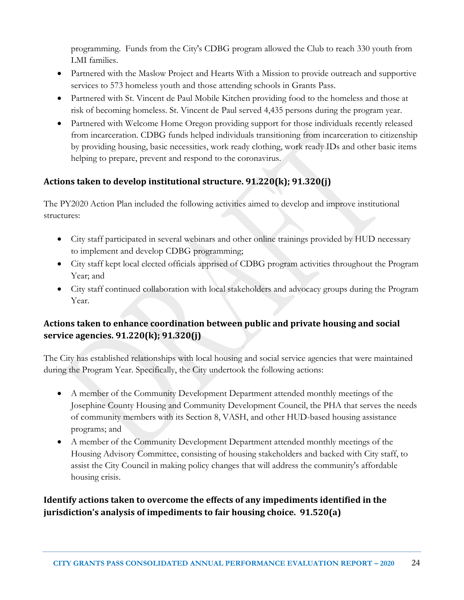programming. Funds from the City's CDBG program allowed the Club to reach 330 youth from LMI families.

- Partnered with the Maslow Project and Hearts With a Mission to provide outreach and supportive services to 573 homeless youth and those attending schools in Grants Pass.
- Partnered with St. Vincent de Paul Mobile Kitchen providing food to the homeless and those at risk of becoming homeless. St. Vincent de Paul served 4,435 persons during the program year.
- Partnered with Welcome Home Oregon providing support for those individuals recently released from incarceration. CDBG funds helped individuals transitioning from incarceration to citizenship by providing housing, basic necessities, work ready clothing, work ready IDs and other basic items helping to prepare, prevent and respond to the coronavirus.

### **Actions taken to develop institutional structure. 91.220(k); 91.320(j)**

The PY2020 Action Plan included the following activities aimed to develop and improve institutional structures:

- City staff participated in several webinars and other online trainings provided by HUD necessary to implement and develop CDBG programming;
- City staff kept local elected officials apprised of CDBG program activities throughout the Program Year; and
- City staff continued collaboration with local stakeholders and advocacy groups during the Program Year.

## **Actions taken to enhance coordination between public and private housing and social service agencies. 91.220(k); 91.320(j)**

The City has established relationships with local housing and social service agencies that were maintained during the Program Year. Specifically, the City undertook the following actions:

- A member of the Community Development Department attended monthly meetings of the Josephine County Housing and Community Development Council, the PHA that serves the needs of community members with its Section 8, VASH, and other HUD-based housing assistance programs; and
- A member of the Community Development Department attended monthly meetings of the Housing Advisory Committee, consisting of housing stakeholders and backed with City staff, to assist the City Council in making policy changes that will address the community's affordable housing crisis.

**Identify actions taken to overcome the effects of any impediments identified in the jurisdiction's analysis of impediments to fair housing choice. 91.520(a)**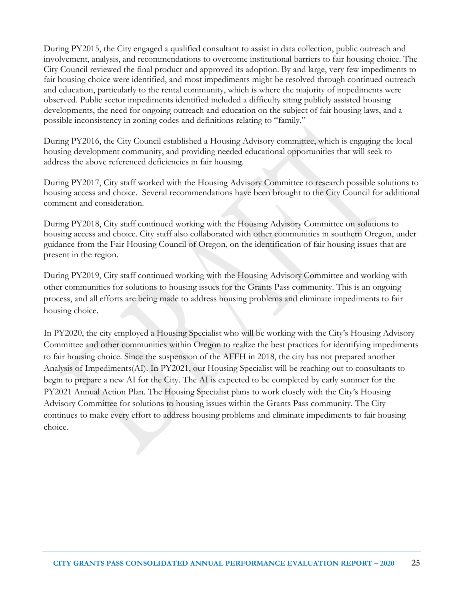During PY2015, the City engaged a qualified consultant to assist in data collection, public outreach and involvement, analysis, and recommendations to overcome institutional barriers to fair housing choice. The City Council reviewed the final product and approved its adoption. By and large, very few impediments to fair housing choice were identified, and most impediments might be resolved through continued outreach and education, particularly to the rental community, which is where the majority of impediments were observed. Public sector impediments identified included a difficulty siting publicly assisted housing developments, the need for ongoing outreach and education on the subject of fair housing laws, and a possible inconsistency in zoning codes and definitions relating to "family."

During PY2016, the City Council established a Housing Advisory committee, which is engaging the local housing development community, and providing needed educational opportunities that will seek to address the above referenced deficiencies in fair housing.

During PY2017, City staff worked with the Housing Advisory Committee to research possible solutions to housing access and choice. Several recommendations have been brought to the City Council for additional comment and consideration.

During PY2018, City staff continued working with the Housing Advisory Committee on solutions to housing access and choice. City staff also collaborated with other communities in southern Oregon, under guidance from the Fair Housing Council of Oregon, on the identification of fair housing issues that are present in the region.

During PY2019, City staff continued working with the Housing Advisory Committee and working with other communities for solutions to housing issues for the Grants Pass community. This is an ongoing process, and all efforts are being made to address housing problems and eliminate impediments to fair housing choice.

In PY2020, the city employed a Housing Specialist who will be working with the City's Housing Advisory Committee and other communities within Oregon to realize the best practices for identifying impediments to fair housing choice. Since the suspension of the AFFH in 2018, the city has not prepared another Analysis of Impediments(AI). In PY2021, our Housing Specialist will be reaching out to consultants to begin to prepare a new AI for the City. The AI is expected to be completed by early summer for the PY2021 Annual Action Plan. The Housing Specialist plans to work closely with the City's Housing Advisory Committee for solutions to housing issues within the Grants Pass community. The City continues to make every effort to address housing problems and eliminate impediments to fair housing choice.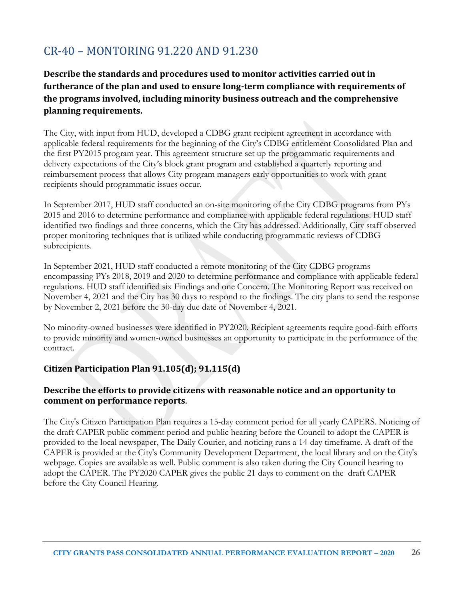# CR-40 – MONTORING 91.220 AND 91.230

## **Describe the standards and procedures used to monitor activities carried out in furtherance of the plan and used to ensure long-term compliance with requirements of the programs involved, including minority business outreach and the comprehensive planning requirements.**

The City, with input from HUD, developed a CDBG grant recipient agreement in accordance with applicable federal requirements for the beginning of the City's CDBG entitlement Consolidated Plan and the first PY2015 program year. This agreement structure set up the programmatic requirements and delivery expectations of the City's block grant program and established a quarterly reporting and reimbursement process that allows City program managers early opportunities to work with grant recipients should programmatic issues occur.

In September 2017, HUD staff conducted an on-site monitoring of the City CDBG programs from PYs 2015 and 2016 to determine performance and compliance with applicable federal regulations. HUD staff identified two findings and three concerns, which the City has addressed. Additionally, City staff observed proper monitoring techniques that is utilized while conducting programmatic reviews of CDBG subrecipients.

In September 2021, HUD staff conducted a remote monitoring of the City CDBG programs encompassing PYs 2018, 2019 and 2020 to determine performance and compliance with applicable federal regulations. HUD staff identified six Findings and one Concern. The Monitoring Report was received on November 4, 2021 and the City has 30 days to respond to the findings. The city plans to send the response by November 2, 2021 before the 30-day due date of November 4, 2021.

No minority-owned businesses were identified in PY2020. Recipient agreements require good-faith efforts to provide minority and women-owned businesses an opportunity to participate in the performance of the contract.

#### **Citizen Participation Plan 91.105(d); 91.115(d)**

#### **Describe the efforts to provide citizens with reasonable notice and an opportunity to comment on performance reports**.

The City's Citizen Participation Plan requires a 15-day comment period for all yearly CAPERS. Noticing of the draft CAPER public comment period and public hearing before the Council to adopt the CAPER is provided to the local newspaper, The Daily Courier, and noticing runs a 14-day timeframe. A draft of the CAPER is provided at the City's Community Development Department, the local library and on the City's webpage. Copies are available as well. Public comment is also taken during the City Council hearing to adopt the CAPER. The PY2020 CAPER gives the public 21 days to comment on the draft CAPER before the City Council Hearing.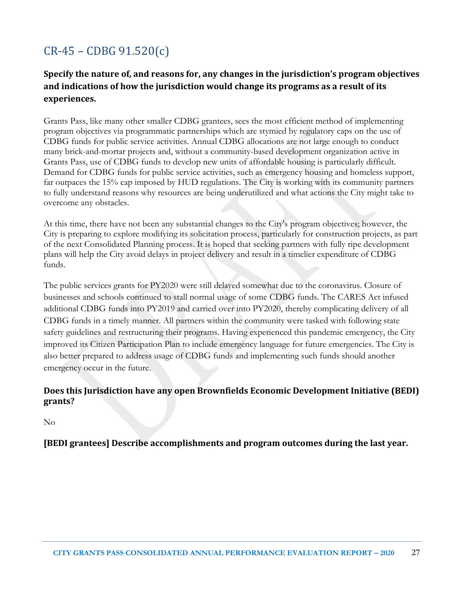# CR-45 – CDBG 91.520(c)

### **Specify the nature of, and reasons for, any changes in the jurisdiction's program objectives and indications of how the jurisdiction would change its programs as a result of its experiences.**

Grants Pass, like many other smaller CDBG grantees, sees the most efficient method of implementing program objectives via programmatic partnerships which are stymied by regulatory caps on the use of CDBG funds for public service activities. Annual CDBG allocations are not large enough to conduct many brick-and-mortar projects and, without a community-based development organization active in Grants Pass, use of CDBG funds to develop new units of affordable housing is particularly difficult. Demand for CDBG funds for public service activities, such as emergency housing and homeless support, far outpaces the 15% cap imposed by HUD regulations. The City is working with its community partners to fully understand reasons why resources are being underutilized and what actions the City might take to overcome any obstacles.

At this time, there have not been any substantial changes to the City's program objectives; however, the City is preparing to explore modifying its solicitation process, particularly for construction projects, as part of the next Consolidated Planning process. It is hoped that seeking partners with fully ripe development plans will help the City avoid delays in project delivery and result in a timelier expenditure of CDBG funds.

The public services grants for PY2020 were still delayed somewhat due to the coronavirus. Closure of businesses and schools continued to stall normal usage of some CDBG funds. The CARES Act infused additional CDBG funds into PY2019 and carried over into PY2020, thereby complicating delivery of all CDBG funds in a timely manner. All partners within the community were tasked with following state safety guidelines and restructuring their programs. Having experienced this pandemic emergency, the City improved its Citizen Participation Plan to include emergency language for future emergencies. The City is also better prepared to address usage of CDBG funds and implementing such funds should another emergency occur in the future.

#### **Does this Jurisdiction have any open Brownfields Economic Development Initiative (BEDI) grants?**

No

**[BEDI grantees] Describe accomplishments and program outcomes during the last year.**